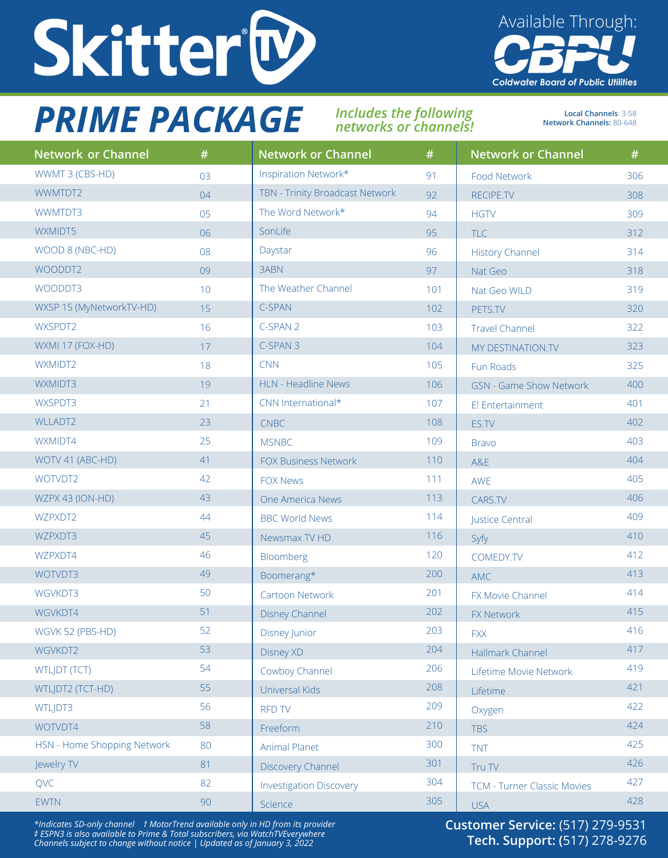

## *PRIME PACKAGE Includes the following*

## *networks or channels!*

**Local Channels**: 3-58 **Network Channels:** 80-648

Available Through:

**Coldwater Board of Public Utilities** 

| <b>Network or Channel</b>   | #  | <b>Network or Channel</b>       | #   | <b>Network or Channel</b>          | #   |
|-----------------------------|----|---------------------------------|-----|------------------------------------|-----|
| WWMT 3 (CBS-HD)             | 03 | Inspiration Network*            | 91  | Food Network                       | 306 |
| WWMTDT2                     | 04 | TBN - Trinity Broadcast Network | 92  | RECIPE.TV                          | 308 |
| WWMTDT3                     | 05 | The Word Network*               | 94  | <b>HGTV</b>                        | 309 |
| WXMIDT5                     | 06 | SonLife                         | 95  | <b>TLC</b>                         | 312 |
| WOOD 8 (NBC-HD)             | 08 | Daystar                         | 96  | <b>History Channel</b>             | 314 |
| WOODDT2                     | 09 | 3ABN                            | 97  | Nat Geo                            | 318 |
| WOODDT3                     | 10 | The Weather Channel             | 101 | Nat Geo WILD                       | 319 |
| WXSP 15 (MyNetworkTV-HD)    | 15 | C-SPAN                          | 102 | PETS.TV                            | 320 |
| WXSPDT2                     | 16 | C-SPAN 2                        | 103 | <b>Travel Channel</b>              | 322 |
| WXMI 17 (FOX-HD)            | 17 | C-SPAN 3                        | 104 | MY DESTINATION.TV                  | 323 |
| WXMIDT2                     | 18 | <b>CNN</b>                      | 105 | Fun Roads                          | 325 |
| WXMIDT3                     | 19 | HLN - Headline News             | 106 | <b>GSN - Game Show Network</b>     | 400 |
| WXSPDT3                     | 21 | CNN International*              | 107 | E! Entertainment                   | 401 |
| <b>WLLADT2</b>              | 23 | <b>CNBC</b>                     | 108 | ES.TV                              | 402 |
| WXMIDT4                     | 25 | <b>MSNBC</b>                    | 109 | <b>Bravo</b>                       | 403 |
| WOTV 41 (ABC-HD)            | 41 | <b>FOX Business Network</b>     | 110 | A&E                                | 404 |
| WOTVDT2                     | 42 | <b>FOX News</b>                 | 111 | AWE                                | 405 |
| WZPX 43 (ION-HD)            | 43 | One America News                | 113 | CARS.TV                            | 406 |
| WZPXDT2                     | 44 | <b>BBC World News</b>           | 114 | Justice Central                    | 409 |
| WZPXDT3                     | 45 | Newsmax TV HD                   | 116 | Syfy                               | 410 |
| WZPXDT4                     | 46 | Bloomberg                       | 120 | COMEDY.TV                          | 412 |
| WOTVDT3                     | 49 | Boomerang*                      | 200 | <b>AMC</b>                         | 413 |
| WGVKDT3                     | 50 | Cartoon Network                 | 201 | FX Movie Channel                   | 414 |
| WGVKDT4                     | 51 | <b>Disney Channel</b>           | 202 | FX Network                         | 415 |
| WGVK 52 (PBS-HD)            | 52 | Disney Junior                   | 203 | <b>FXX</b>                         | 416 |
| WGVKDT2                     | 53 | Disney XD                       | 204 | Hallmark Channel                   | 417 |
| <b>WTLJDT (TCT)</b>         | 54 | Cowboy Channel                  | 206 | Lifetime Movie Network             | 419 |
| WTLJDT2 (TCT-HD)            | 55 | Universal Kids                  | 208 | Lifetime                           | 421 |
| WTLJDT3                     | 56 | <b>RFD TV</b>                   | 209 | Oxygen                             | 422 |
| WOTVDT4                     | 58 | Freeform                        | 210 | <b>TBS</b>                         | 424 |
| HSN - Home Shopping Network | 80 | Animal Planet                   | 300 | <b>TNT</b>                         | 425 |
| Jewelry TV                  | 81 | Discovery Channel               | 301 | Tru TV                             | 426 |
| QVC                         | 82 | <b>Investigation Discovery</b>  | 304 | <b>TCM - Turner Classic Movies</b> | 427 |
| <b>EWTN</b>                 | 90 | Science                         | 305 | <b>USA</b>                         | 428 |

*\*Indicates SD-only channel † MotorTrend available only in HD from its provider ‡ ESPN3 is also available to Prime & Total subscribers, via WatchTVEverywhere Channels subject to change without notice | Updated as of January 3, 2022*

**Customer Service:** (517) 279-9531 **Tech. Support: (**517) 278-9276